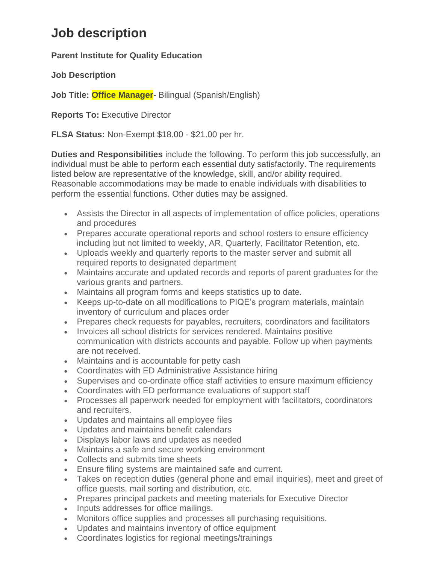# **Job description**

**Parent Institute for Quality Education**

**Job Description**

**Job Title: Office Manager**- Bilingual (Spanish/English)

**Reports To:** Executive Director

**FLSA Status:** Non-Exempt \$18.00 - \$21.00 per hr.

**Duties and Responsibilities** include the following. To perform this job successfully, an individual must be able to perform each essential duty satisfactorily. The requirements listed below are representative of the knowledge, skill, and/or ability required. Reasonable accommodations may be made to enable individuals with disabilities to perform the essential functions. Other duties may be assigned.

- Assists the Director in all aspects of implementation of office policies, operations and procedures
- Prepares accurate operational reports and school rosters to ensure efficiency including but not limited to weekly, AR, Quarterly, Facilitator Retention, etc.
- Uploads weekly and quarterly reports to the master server and submit all required reports to designated department
- Maintains accurate and updated records and reports of parent graduates for the various grants and partners.
- Maintains all program forms and keeps statistics up to date.
- Keeps up-to-date on all modifications to PIQE's program materials, maintain inventory of curriculum and places order
- Prepares check requests for payables, recruiters, coordinators and facilitators
- Invoices all school districts for services rendered. Maintains positive communication with districts accounts and payable. Follow up when payments are not received.
- Maintains and is accountable for petty cash
- Coordinates with ED Administrative Assistance hiring
- Supervises and co-ordinate office staff activities to ensure maximum efficiency
- Coordinates with ED performance evaluations of support staff
- Processes all paperwork needed for employment with facilitators, coordinators and recruiters.
- Updates and maintains all employee files
- Updates and maintains benefit calendars
- Displays labor laws and updates as needed
- Maintains a safe and secure working environment
- Collects and submits time sheets
- Ensure filing systems are maintained safe and current.
- Takes on reception duties (general phone and email inquiries), meet and greet of office guests, mail sorting and distribution, etc.
- Prepares principal packets and meeting materials for Executive Director
- Inputs addresses for office mailings.
- Monitors office supplies and processes all purchasing requisitions.
- Updates and maintains inventory of office equipment
- Coordinates logistics for regional meetings/trainings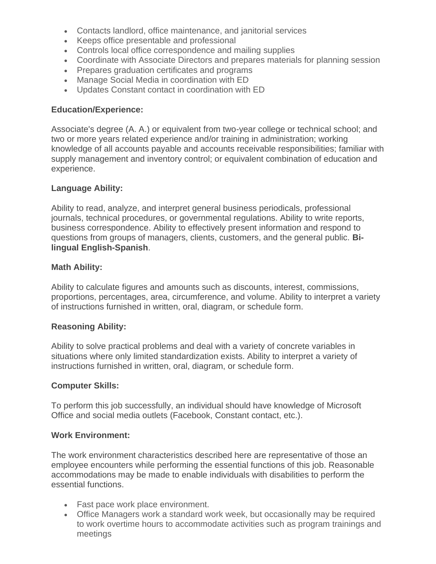- Contacts landlord, office maintenance, and janitorial services
- Keeps office presentable and professional
- Controls local office correspondence and mailing supplies
- Coordinate with Associate Directors and prepares materials for planning session
- Prepares graduation certificates and programs
- Manage Social Media in coordination with ED
- Updates Constant contact in coordination with ED

### **Education/Experience:**

Associate's degree (A. A.) or equivalent from two-year college or technical school; and two or more years related experience and/or training in administration; working knowledge of all accounts payable and accounts receivable responsibilities; familiar with supply management and inventory control; or equivalent combination of education and experience.

#### **Language Ability:**

Ability to read, analyze, and interpret general business periodicals, professional journals, technical procedures, or governmental regulations. Ability to write reports, business correspondence. Ability to effectively present information and respond to questions from groups of managers, clients, customers, and the general public. **Bilingual English-Spanish**.

## **Math Ability:**

Ability to calculate figures and amounts such as discounts, interest, commissions, proportions, percentages, area, circumference, and volume. Ability to interpret a variety of instructions furnished in written, oral, diagram, or schedule form.

#### **Reasoning Ability:**

Ability to solve practical problems and deal with a variety of concrete variables in situations where only limited standardization exists. Ability to interpret a variety of instructions furnished in written, oral, diagram, or schedule form.

#### **Computer Skills:**

To perform this job successfully, an individual should have knowledge of Microsoft Office and social media outlets (Facebook, Constant contact, etc.).

#### **Work Environment:**

The work environment characteristics described here are representative of those an employee encounters while performing the essential functions of this job. Reasonable accommodations may be made to enable individuals with disabilities to perform the essential functions.

- Fast pace work place environment.
- Office Managers work a standard work week, but occasionally may be required to work overtime hours to accommodate activities such as program trainings and meetings